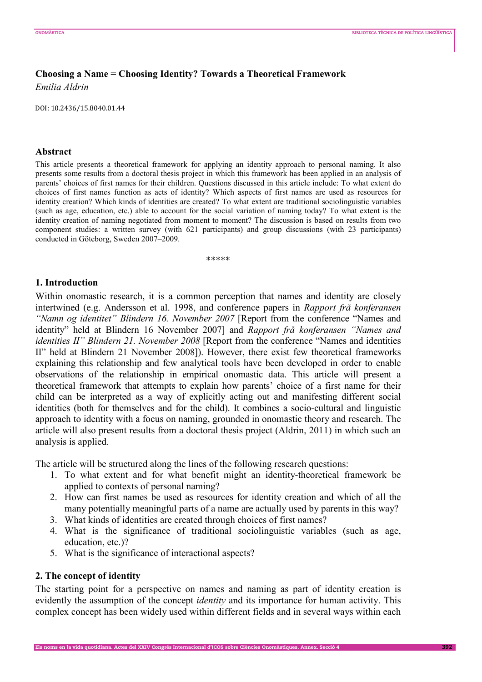# **Choosing a Name = Choosing Identity? Towards a Theoretical Framework**  *Emilia Aldrin*

DOI: 10.2436/15.8040.01.44

#### **Abstract**

This article presents a theoretical framework for applying an identity approach to personal naming. It also presents some results from a doctoral thesis project in which this framework has been applied in an analysis of parents' choices of first names for their children. Questions discussed in this article include: To what extent do choices of first names function as acts of identity? Which aspects of first names are used as resources for identity creation? Which kinds of identities are created? To what extent are traditional sociolinguistic variables (such as age, education, etc.) able to account for the social variation of naming today? To what extent is the identity creation of naming negotiated from moment to moment? The discussion is based on results from two component studies: a written survey (with 621 participants) and group discussions (with 23 participants) conducted in Göteborg, Sweden 2007–2009.

\*\*\*\*\*

## **1. Introduction**

Within onomastic research, it is a common perception that names and identity are closely intertwined (e.g. Andersson et al. 1998, and conference papers in *Rapport frå konferansen "Namn og identitet" Blindern 16. November 2007* [Report from the conference "Names and identity" held at Blindern 16 November 2007] and *Rapport frå konferansen "Names and identities II" Blindern 21. November 2008* [Report from the conference "Names and identities II" held at Blindern 21 November 2008]). However, there exist few theoretical frameworks explaining this relationship and few analytical tools have been developed in order to enable observations of the relationship in empirical onomastic data. This article will present a theoretical framework that attempts to explain how parents' choice of a first name for their child can be interpreted as a way of explicitly acting out and manifesting different social identities (both for themselves and for the child). It combines a socio-cultural and linguistic approach to identity with a focus on naming, grounded in onomastic theory and research. The article will also present results from a doctoral thesis project (Aldrin, 2011) in which such an analysis is applied.

The article will be structured along the lines of the following research questions:

- 1. To what extent and for what benefit might an identity-theoretical framework be applied to contexts of personal naming?
- 2. How can first names be used as resources for identity creation and which of all the many potentially meaningful parts of a name are actually used by parents in this way?
- 3. What kinds of identities are created through choices of first names?
- 4. What is the significance of traditional sociolinguistic variables (such as age, education, etc.)?
- 5. What is the significance of interactional aspects?

## **2. The concept of identity**

The starting point for a perspective on names and naming as part of identity creation is evidently the assumption of the concept *identity* and its importance for human activity. This complex concept has been widely used within different fields and in several ways within each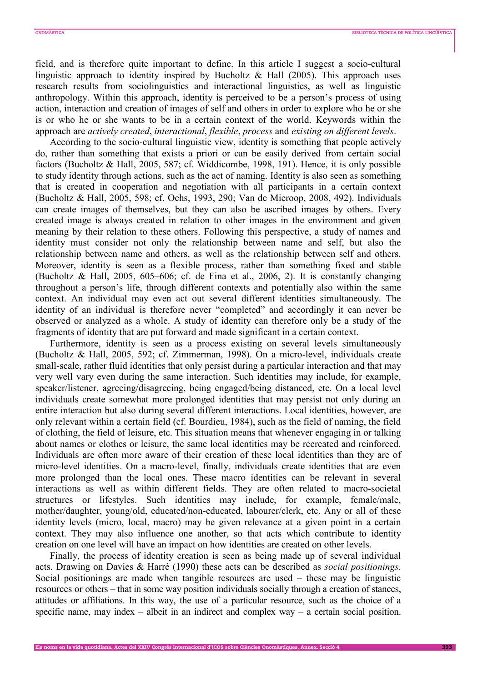field, and is therefore quite important to define. In this article I suggest a socio-cultural linguistic approach to identity inspired by Bucholtz  $\&$  Hall (2005). This approach uses research results from sociolinguistics and interactional linguistics, as well as linguistic anthropology. Within this approach, identity is perceived to be a person's process of using action, interaction and creation of images of self and others in order to explore who he or she is or who he or she wants to be in a certain context of the world. Keywords within the approach are *actively created*, *interactional*, *flexible*, *process* and *existing on different levels*.

According to the socio-cultural linguistic view, identity is something that people actively do, rather than something that exists a priori or can be easily derived from certain social factors (Bucholtz & Hall, 2005, 587; cf. Widdicombe, 1998, 191). Hence, it is only possible to study identity through actions, such as the act of naming. Identity is also seen as something that is created in cooperation and negotiation with all participants in a certain context (Bucholtz & Hall, 2005, 598; cf. Ochs, 1993, 290; Van de Mieroop, 2008, 492). Individuals can create images of themselves, but they can also be ascribed images by others. Every created image is always created in relation to other images in the environment and given meaning by their relation to these others. Following this perspective, a study of names and identity must consider not only the relationship between name and self, but also the relationship between name and others, as well as the relationship between self and others. Moreover, identity is seen as a flexible process, rather than something fixed and stable (Bucholtz & Hall, 2005, 605–606; cf. de Fina et al., 2006, 2). It is constantly changing throughout a person's life, through different contexts and potentially also within the same context. An individual may even act out several different identities simultaneously. The identity of an individual is therefore never "completed" and accordingly it can never be observed or analyzed as a whole. A study of identity can therefore only be a study of the fragments of identity that are put forward and made significant in a certain context.

Furthermore, identity is seen as a process existing on several levels simultaneously (Bucholtz & Hall, 2005, 592; cf. Zimmerman, 1998). On a micro-level, individuals create small-scale, rather fluid identities that only persist during a particular interaction and that may very well vary even during the same interaction. Such identities may include, for example, speaker/listener, agreeing/disagreeing, being engaged/being distanced, etc. On a local level individuals create somewhat more prolonged identities that may persist not only during an entire interaction but also during several different interactions. Local identities, however, are only relevant within a certain field (cf. Bourdieu, 1984), such as the field of naming, the field of clothing, the field of leisure, etc. This situation means that whenever engaging in or talking about names or clothes or leisure, the same local identities may be recreated and reinforced. Individuals are often more aware of their creation of these local identities than they are of micro-level identities. On a macro-level, finally, individuals create identities that are even more prolonged than the local ones. These macro identities can be relevant in several interactions as well as within different fields. They are often related to macro-societal structures or lifestyles. Such identities may include, for example, female/male, mother/daughter, young/old, educated/non-educated, labourer/clerk, etc. Any or all of these identity levels (micro, local, macro) may be given relevance at a given point in a certain context. They may also influence one another, so that acts which contribute to identity creation on one level will have an impact on how identities are created on other levels.

Finally, the process of identity creation is seen as being made up of several individual acts. Drawing on Davies & Harré (1990) these acts can be described as *social positionings*. Social positionings are made when tangible resources are used – these may be linguistic resources or others – that in some way position individuals socially through a creation of stances, attitudes or affiliations. In this way, the use of a particular resource, such as the choice of a specific name, may index  $-$  albeit in an indirect and complex way  $-$  a certain social position.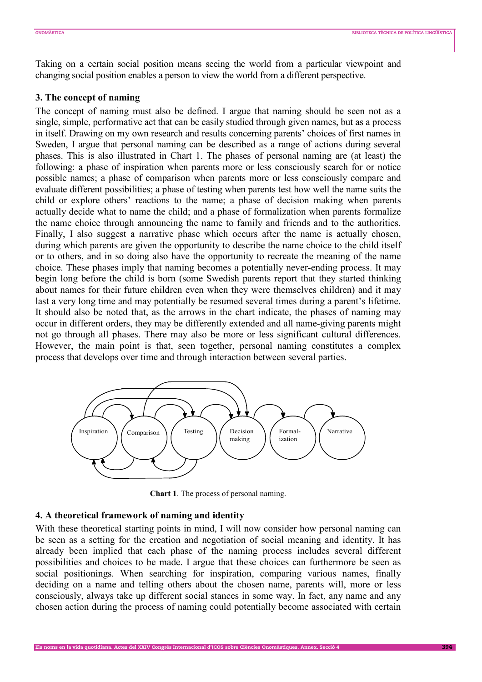Taking on a certain social position means seeing the world from a particular viewpoint and changing social position enables a person to view the world from a different perspective.

## **3. The concept of naming**

The concept of naming must also be defined. I argue that naming should be seen not as a single, simple, performative act that can be easily studied through given names, but as a process in itself. Drawing on my own research and results concerning parents' choices of first names in Sweden, I argue that personal naming can be described as a range of actions during several phases. This is also illustrated in Chart 1. The phases of personal naming are (at least) the following: a phase of inspiration when parents more or less consciously search for or notice possible names; a phase of comparison when parents more or less consciously compare and evaluate different possibilities; a phase of testing when parents test how well the name suits the child or explore others' reactions to the name; a phase of decision making when parents actually decide what to name the child; and a phase of formalization when parents formalize the name choice through announcing the name to family and friends and to the authorities. Finally, I also suggest a narrative phase which occurs after the name is actually chosen, during which parents are given the opportunity to describe the name choice to the child itself or to others, and in so doing also have the opportunity to recreate the meaning of the name choice. These phases imply that naming becomes a potentially never-ending process. It may begin long before the child is born (some Swedish parents report that they started thinking about names for their future children even when they were themselves children) and it may last a very long time and may potentially be resumed several times during a parent's lifetime. It should also be noted that, as the arrows in the chart indicate, the phases of naming may occur in different orders, they may be differently extended and all name-giving parents might not go through all phases. There may also be more or less significant cultural differences. However, the main point is that, seen together, personal naming constitutes a complex process that develops over time and through interaction between several parties.



**Chart 1**. The process of personal naming.

#### **4. A theoretical framework of naming and identity**

With these theoretical starting points in mind, I will now consider how personal naming can be seen as a setting for the creation and negotiation of social meaning and identity. It has already been implied that each phase of the naming process includes several different possibilities and choices to be made. I argue that these choices can furthermore be seen as social positionings. When searching for inspiration, comparing various names, finally deciding on a name and telling others about the chosen name, parents will, more or less consciously, always take up different social stances in some way. In fact, any name and any chosen action during the process of naming could potentially become associated with certain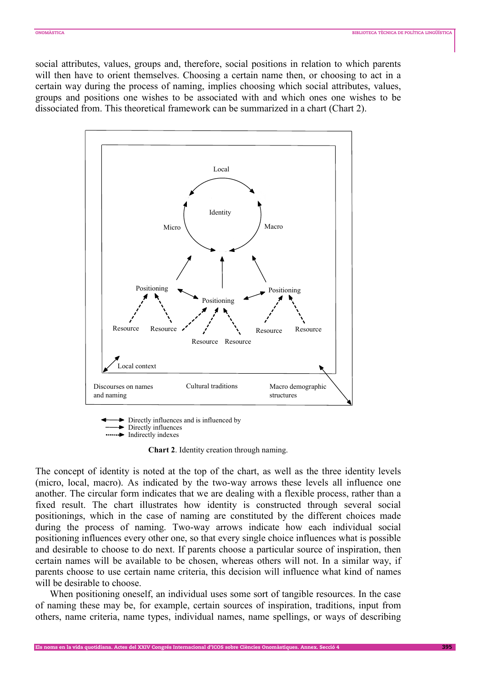social attributes, values, groups and, therefore, social positions in relation to which parents will then have to orient themselves. Choosing a certain name then, or choosing to act in a certain way during the process of naming, implies choosing which social attributes, values, groups and positions one wishes to be associated with and which ones one wishes to be dissociated from. This theoretical framework can be summarized in a chart (Chart 2).



Directly influences and is influenced by Directly influences **Indirectly indexes** 

**Chart 2**. Identity creation through naming.

The concept of identity is noted at the top of the chart, as well as the three identity levels (micro, local, macro). As indicated by the two-way arrows these levels all influence one another. The circular form indicates that we are dealing with a flexible process, rather than a fixed result. The chart illustrates how identity is constructed through several social positionings, which in the case of naming are constituted by the different choices made during the process of naming. Two-way arrows indicate how each individual social positioning influences every other one, so that every single choice influences what is possible and desirable to choose to do next. If parents choose a particular source of inspiration, then certain names will be available to be chosen, whereas others will not. In a similar way, if parents choose to use certain name criteria, this decision will influence what kind of names will be desirable to choose.

When positioning oneself, an individual uses some sort of tangible resources. In the case of naming these may be, for example, certain sources of inspiration, traditions, input from others, name criteria, name types, individual names, name spellings, or ways of describing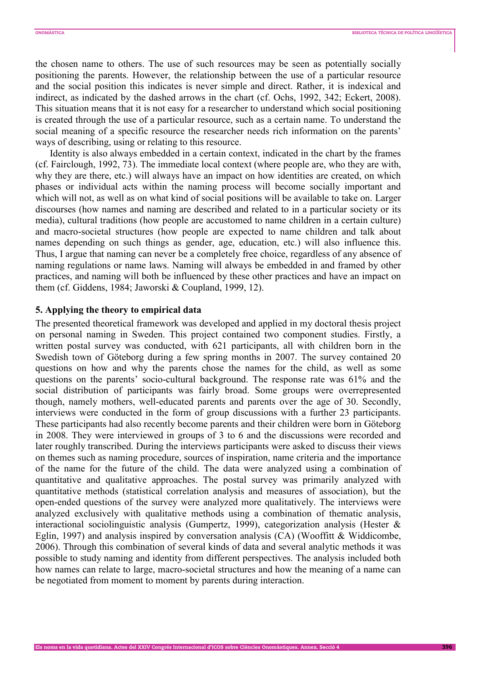the chosen name to others. The use of such resources may be seen as potentially socially positioning the parents. However, the relationship between the use of a particular resource and the social position this indicates is never simple and direct. Rather, it is indexical and indirect, as indicated by the dashed arrows in the chart (cf. Ochs, 1992, 342; Eckert, 2008). This situation means that it is not easy for a researcher to understand which social positioning is created through the use of a particular resource, such as a certain name. To understand the social meaning of a specific resource the researcher needs rich information on the parents' ways of describing, using or relating to this resource.

Identity is also always embedded in a certain context, indicated in the chart by the frames (cf. Fairclough, 1992, 73). The immediate local context (where people are, who they are with, why they are there, etc.) will always have an impact on how identities are created, on which phases or individual acts within the naming process will become socially important and which will not, as well as on what kind of social positions will be available to take on. Larger discourses (how names and naming are described and related to in a particular society or its media), cultural traditions (how people are accustomed to name children in a certain culture) and macro-societal structures (how people are expected to name children and talk about names depending on such things as gender, age, education, etc.) will also influence this. Thus, I argue that naming can never be a completely free choice, regardless of any absence of naming regulations or name laws. Naming will always be embedded in and framed by other practices, and naming will both be influenced by these other practices and have an impact on them (cf. Giddens, 1984; Jaworski & Coupland, 1999, 12).

#### **5. Applying the theory to empirical data**

The presented theoretical framework was developed and applied in my doctoral thesis project on personal naming in Sweden. This project contained two component studies. Firstly, a written postal survey was conducted, with 621 participants, all with children born in the Swedish town of Göteborg during a few spring months in 2007. The survey contained 20 questions on how and why the parents chose the names for the child, as well as some questions on the parents' socio-cultural background. The response rate was 61% and the social distribution of participants was fairly broad. Some groups were overrepresented though, namely mothers, well-educated parents and parents over the age of 30. Secondly, interviews were conducted in the form of group discussions with a further 23 participants. These participants had also recently become parents and their children were born in Göteborg in 2008. They were interviewed in groups of 3 to 6 and the discussions were recorded and later roughly transcribed. During the interviews participants were asked to discuss their views on themes such as naming procedure, sources of inspiration, name criteria and the importance of the name for the future of the child. The data were analyzed using a combination of quantitative and qualitative approaches. The postal survey was primarily analyzed with quantitative methods (statistical correlation analysis and measures of association), but the open-ended questions of the survey were analyzed more qualitatively. The interviews were analyzed exclusively with qualitative methods using a combination of thematic analysis, interactional sociolinguistic analysis (Gumpertz, 1999), categorization analysis (Hester & Eglin, 1997) and analysis inspired by conversation analysis (CA) (Wooffitt & Widdicombe, 2006). Through this combination of several kinds of data and several analytic methods it was possible to study naming and identity from different perspectives. The analysis included both how names can relate to large, macro-societal structures and how the meaning of a name can be negotiated from moment to moment by parents during interaction.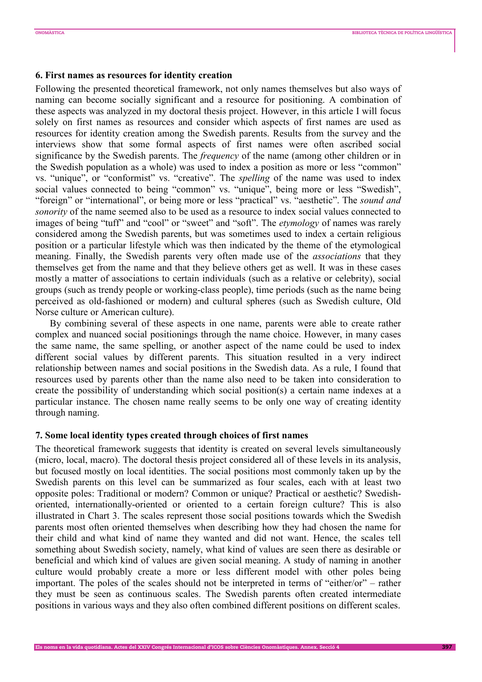## **6. First names as resources for identity creation**

Following the presented theoretical framework, not only names themselves but also ways of naming can become socially significant and a resource for positioning. A combination of these aspects was analyzed in my doctoral thesis project. However, in this article I will focus solely on first names as resources and consider which aspects of first names are used as resources for identity creation among the Swedish parents. Results from the survey and the interviews show that some formal aspects of first names were often ascribed social significance by the Swedish parents. The *frequency* of the name (among other children or in the Swedish population as a whole) was used to index a position as more or less "common" vs. "unique", or "conformist" vs. "creative". The *spelling* of the name was used to index social values connected to being "common" vs. "unique", being more or less "Swedish", "foreign" or "international", or being more or less "practical" vs. "aesthetic". The *sound and sonority* of the name seemed also to be used as a resource to index social values connected to images of being "tuff" and "cool" or "sweet" and "soft". The *etymology* of names was rarely considered among the Swedish parents, but was sometimes used to index a certain religious position or a particular lifestyle which was then indicated by the theme of the etymological meaning. Finally, the Swedish parents very often made use of the *associations* that they themselves get from the name and that they believe others get as well. It was in these cases mostly a matter of associations to certain individuals (such as a relative or celebrity), social groups (such as trendy people or working-class people), time periods (such as the name being perceived as old-fashioned or modern) and cultural spheres (such as Swedish culture, Old Norse culture or American culture).

By combining several of these aspects in one name, parents were able to create rather complex and nuanced social positionings through the name choice. However, in many cases the same name, the same spelling, or another aspect of the name could be used to index different social values by different parents. This situation resulted in a very indirect relationship between names and social positions in the Swedish data. As a rule, I found that resources used by parents other than the name also need to be taken into consideration to create the possibility of understanding which social position(s) a certain name indexes at a particular instance. The chosen name really seems to be only one way of creating identity through naming.

## **7. Some local identity types created through choices of first names**

The theoretical framework suggests that identity is created on several levels simultaneously (micro, local, macro). The doctoral thesis project considered all of these levels in its analysis, but focused mostly on local identities. The social positions most commonly taken up by the Swedish parents on this level can be summarized as four scales, each with at least two opposite poles: Traditional or modern? Common or unique? Practical or aesthetic? Swedishoriented, internationally-oriented or oriented to a certain foreign culture? This is also illustrated in Chart 3. The scales represent those social positions towards which the Swedish parents most often oriented themselves when describing how they had chosen the name for their child and what kind of name they wanted and did not want. Hence, the scales tell something about Swedish society, namely, what kind of values are seen there as desirable or beneficial and which kind of values are given social meaning. A study of naming in another culture would probably create a more or less different model with other poles being important. The poles of the scales should not be interpreted in terms of "either/or" – rather they must be seen as continuous scales. The Swedish parents often created intermediate positions in various ways and they also often combined different positions on different scales.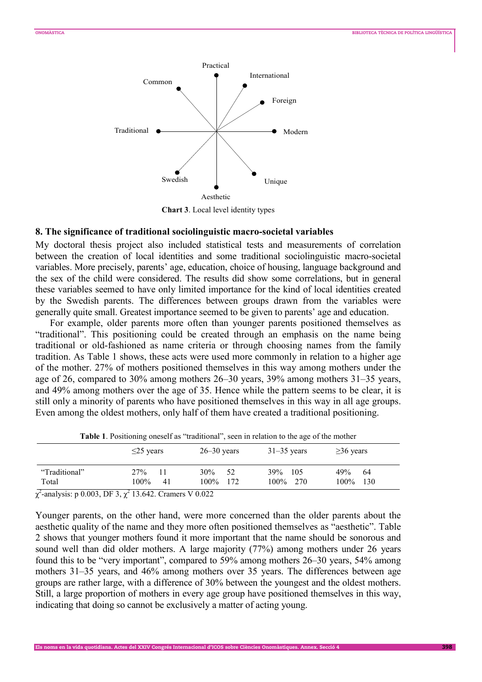

**Chart 3**. Local level identity types

#### **8. The significance of traditional sociolinguistic macro-societal variables**

My doctoral thesis project also included statistical tests and measurements of correlation between the creation of local identities and some traditional sociolinguistic macro-societal variables. More precisely, parents' age, education, choice of housing, language background and the sex of the child were considered. The results did show some correlations, but in general these variables seemed to have only limited importance for the kind of local identities created by the Swedish parents. The differences between groups drawn from the variables were generally quite small. Greatest importance seemed to be given to parents' age and education.

For example, older parents more often than younger parents positioned themselves as "traditional". This positioning could be created through an emphasis on the name being traditional or old-fashioned as name criteria or through choosing names from the family tradition. As Table 1 shows, these acts were used more commonly in relation to a higher age of the mother. 27% of mothers positioned themselves in this way among mothers under the age of 26, compared to 30% among mothers 26–30 years, 39% among mothers 31–35 years, and 49% among mothers over the age of 35. Hence while the pattern seems to be clear, it is still only a minority of parents who have positioned themselves in this way in all age groups. Even among the oldest mothers, only half of them have created a traditional positioning.

|               | $\leq$ 25 years      | $26 - 30$ years  | $31-35$ years | $\geq$ 36 years |  |
|---------------|----------------------|------------------|---------------|-----------------|--|
| "Traditional" | 27%                  | 30%<br>52        | 39%<br>- 105  | 49%<br>64       |  |
| Total         | $100\%$<br>41        | $100\%$<br>- 172 | $100\%$ 270   | $100\%$<br>130  |  |
| $0.002$ DDA   | $\sim$ $\sim$ $\sim$ | TTO OGO          |               |                 |  |

**Table 1**. Positioning oneself as "traditional", seen in relation to the age of the mother

 $\chi^2$ -analysis: p 0.003, DF 3,  $\chi^2$  13.642. Cramers V 0.022

Younger parents, on the other hand, were more concerned than the older parents about the aesthetic quality of the name and they more often positioned themselves as "aesthetic". Table 2 shows that younger mothers found it more important that the name should be sonorous and sound well than did older mothers. A large majority (77%) among mothers under 26 years found this to be "very important", compared to 59% among mothers 26–30 years, 54% among mothers 31–35 years, and 46% among mothers over 35 years. The differences between age groups are rather large, with a difference of 30% between the youngest and the oldest mothers. Still, a large proportion of mothers in every age group have positioned themselves in this way, indicating that doing so cannot be exclusively a matter of acting young.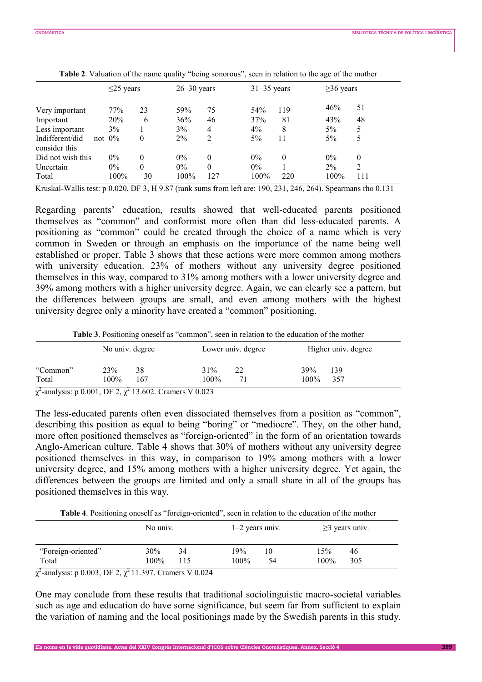|                                  |  | $\leq$ 25 years |          |       | $26 - 30$ years |       | $31-35$ years |       | $\geq$ 36 years |  |
|----------------------------------|--|-----------------|----------|-------|-----------------|-------|---------------|-------|-----------------|--|
| Very important                   |  | 77%             | 23       | 59%   | 75              | 54%   | 119           | 46%   | 51              |  |
| Important                        |  | 20%             | 6        | 36%   | 46              | 37%   | 81            | 43%   | 48              |  |
| Less important                   |  | 3%              |          | 3%    | 4               | $4\%$ | 8             | $5\%$ | 5               |  |
| Indifferent/did<br>consider this |  | not $0\%$       | $\Omega$ | $2\%$ | 2               | $5\%$ | 11            | 5%    |                 |  |
| Did not wish this                |  | $0\%$           | $\Omega$ | $0\%$ | $\theta$        | $0\%$ | 0             | 0%    | $\theta$        |  |
| Uncertain                        |  | $0\%$           | $\Omega$ | $0\%$ | $\theta$        | $0\%$ |               | $2\%$ | $\overline{2}$  |  |
| Total                            |  | 100%            | 30       | 100%  | 127             | 100%  | 220           | 100%  | 111             |  |

**Table 2**. Valuation of the name quality "being sonorous", seen in relation to the age of the mother

Kruskal-Wallis test: p 0.020, DF 3, H 9.87 (rank sums from left are: 190, 231, 246, 264). Spearmans rho 0.131

Regarding parents' education, results showed that well-educated parents positioned themselves as "common" and conformist more often than did less-educated parents. A positioning as "common" could be created through the choice of a name which is very common in Sweden or through an emphasis on the importance of the name being well established or proper. Table 3 shows that these actions were more common among mothers with university education. 23% of mothers without any university degree positioned themselves in this way, compared to 31% among mothers with a lower university degree and 39% among mothers with a higher university degree. Again, we can clearly see a pattern, but the differences between groups are small, and even among mothers with the highest university degree only a minority have created a "common" positioning.

**Table 3**. Positioning oneself as "common", seen in relation to the education of the mother

|                                                                        |         | No univ. degree | Lower univ. degree | Higher univ. degree |
|------------------------------------------------------------------------|---------|-----------------|--------------------|---------------------|
| "Common"                                                               | 23%     | 38              | 31%<br>22          | 39%<br>139          |
| Total                                                                  | $100\%$ | 167             | 100%               | 100%<br>357         |
| $\frac{1}{2}$ exclusive 0.001 DE0 $\frac{1}{2}$ 12.600 Crossove M0.002 |         |                 |                    |                     |

 $\chi^2$ -analysis: p 0.001, DF 2,  $\chi^2$  13.602. Cramers V 0.023

The less-educated parents often even dissociated themselves from a position as "common", describing this position as equal to being "boring" or "mediocre". They, on the other hand, more often positioned themselves as "foreign-oriented" in the form of an orientation towards Anglo-American culture. Table 4 shows that 30% of mothers without any university degree positioned themselves in this way, in comparison to 19% among mothers with a lower university degree, and 15% among mothers with a higher university degree. Yet again, the differences between the groups are limited and only a small share in all of the groups has positioned themselves in this way.

**Table 4**. Positioning oneself as "foreign-oriented", seen in relation to the education of the mother

|                             | No univ.    |           |                | $1-2$ vears univ. |             | $\geq$ years univ. |  |
|-----------------------------|-------------|-----------|----------------|-------------------|-------------|--------------------|--|
| "Foreign-oriented"<br>Total | 30%<br>100% | 34<br>115 | 19%<br>$100\%$ | 10<br>54          | 15%<br>100% | 46<br>305          |  |
| - - - - - - -               | .           | ------    |                |                   |             |                    |  |

 $\chi^2$ -analysis: p 0.003, DF 2,  $\chi^2$  11.397. Cramers V 0.024

One may conclude from these results that traditional sociolinguistic macro-societal variables such as age and education do have some significance, but seem far from sufficient to explain the variation of naming and the local positionings made by the Swedish parents in this study.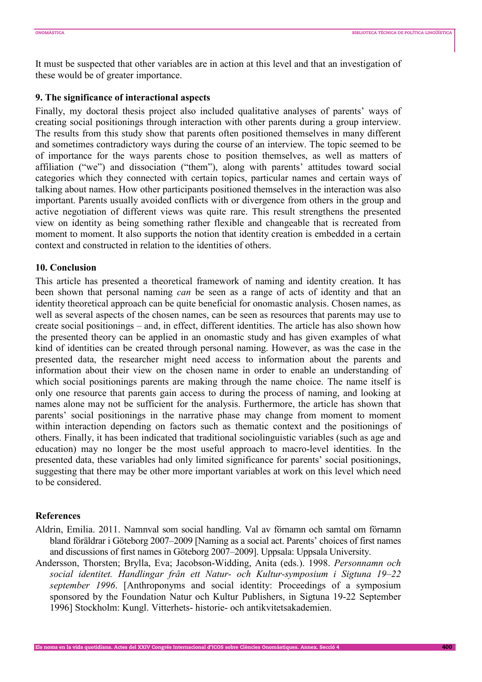It must be suspected that other variables are in action at this level and that an investigation of these would be of greater importance.

## **9. The significance of interactional aspects**

Finally, my doctoral thesis project also included qualitative analyses of parents' ways of creating social positionings through interaction with other parents during a group interview. The results from this study show that parents often positioned themselves in many different and sometimes contradictory ways during the course of an interview. The topic seemed to be of importance for the ways parents chose to position themselves, as well as matters of affiliation ("we") and dissociation ("them"), along with parents' attitudes toward social categories which they connected with certain topics, particular names and certain ways of talking about names. How other participants positioned themselves in the interaction was also important. Parents usually avoided conflicts with or divergence from others in the group and active negotiation of different views was quite rare. This result strengthens the presented view on identity as being something rather flexible and changeable that is recreated from moment to moment. It also supports the notion that identity creation is embedded in a certain context and constructed in relation to the identities of others.

#### **10. Conclusion**

This article has presented a theoretical framework of naming and identity creation. It has been shown that personal naming *can* be seen as a range of acts of identity and that an identity theoretical approach can be quite beneficial for onomastic analysis. Chosen names, as well as several aspects of the chosen names, can be seen as resources that parents may use to create social positionings – and, in effect, different identities. The article has also shown how the presented theory can be applied in an onomastic study and has given examples of what kind of identities can be created through personal naming. However, as was the case in the presented data, the researcher might need access to information about the parents and information about their view on the chosen name in order to enable an understanding of which social positionings parents are making through the name choice. The name itself is only one resource that parents gain access to during the process of naming, and looking at names alone may not be sufficient for the analysis. Furthermore, the article has shown that parents' social positionings in the narrative phase may change from moment to moment within interaction depending on factors such as thematic context and the positionings of others. Finally, it has been indicated that traditional sociolinguistic variables (such as age and education) may no longer be the most useful approach to macro-level identities. In the presented data, these variables had only limited significance for parents' social positionings, suggesting that there may be other more important variables at work on this level which need to be considered.

#### **References**

- Aldrin, Emilia. 2011. Namnval som social handling. Val av förnamn och samtal om förnamn bland föräldrar i Göteborg 2007–2009 [Naming as a social act. Parents' choices of first names and discussions of first names in Göteborg 2007–2009]. Uppsala: Uppsala University.
- Andersson, Thorsten; Brylla, Eva; Jacobson-Widding, Anita (eds.). 1998. *Personnamn och social identitet. Handlingar från ett Natur- och Kultur-symposium i Sigtuna 19–22 september 1996*. [Anthroponyms and social identity: Proceedings of a symposium sponsored by the Foundation Natur och Kultur Publishers, in Sigtuna 19-22 September 1996] Stockholm: Kungl. Vitterhets- historie- och antikvitetsakademien.